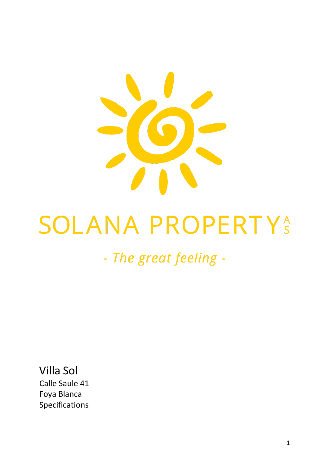

# **SOLANA PROPERTYS**

# - The great feeling -

Villa Sol Calle Saule 4 1 Foya Blanca Specifications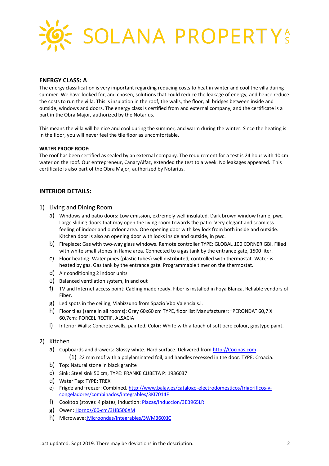

# **ENERGY CLASS: A**

The energy classification is very important regarding reducing costs to heat in winter and cool the villa during summer. We have looked for, and chosen, solutions that could reduce the leakage of energy, and hence reduce the costs to run the villa. This is insulation in the roof, the walls, the floor, all bridges between inside and outside, windows and doors. The energy class is certified from and external company, and the certificate is a part in the Obra Major, authorized by the Notarius.

This means the villa will be nice and cool during the summer, and warm during the winter. Since the heating is in the floor, you will never feel the tile floor as uncomfortable.

#### **WATER PROOF ROOF:**

The roof has been certified as sealed by an external company. The requirement for a test is 24 hour with 10 cm water on the roof. Our entrepreneur, CanaryAlfaz, extended the test to a week. No leakages appeared. This certificate is also part of the Obra Major, authorized by Notarius.

#### **INTERIOR DETAILS:**

#### 1) Living and Dining Room

- a) Windows and patio doors: Low emission, extremely well insulated. Dark brown window frame, pwc. Large sliding doors that may open the living room towards the patio. Very elegant and seamless feeling of indoor and outdoor area. One opening door with key lock from both inside and outside. Kitchen door is also an opening door with locks inside and outside, in pwc.
- b) Fireplace: Gas with two-way glass windows. Remote controller TYPE: GLOBAL 100 CORNER GBI. Filled with white small stones in flame area. Connected to a gas tank by the entrance gate, 1500 liter.
- c) Floor heating: Water pipes (plastic tubes) well distributed, controlled with thermostat. Water is heated by gas. Gas tank by the entrance gate. Programmable timer on the thermostat.
- d) Air conditioning 2 indoor units
- e) Balanced ventilation system, in and out
- f) TV and Internet access point: Cabling made ready. Fiber is installed in Foya Blanca. Reliable vendors of Fiber.
- g) Led spots in the ceiling, Viabizzuno from Spazio Vbo Valencia s.l.
- h) Floor tiles (same in all rooms): Grey 60x60 cm TYPE, floor list Manufacturer: "PERONDA" 60,7 X 60,7cm: PORCEL RECTIF. ALSACIA
- i) Interior Walls: Concrete walls, painted. Color: White with a touch of soft ocre colour, gipstype paint.

# 2) Kitchen

- a) Cupboards and drawers: Glossy white. Hard surface. Delivered from http://Cocinas.com
- (1) 22 mm mdf with a polylaminated foil, and handles recessed in the door. TYPE: Croacia.
- b) Top: Natural stone in black granite
- c) Sink: Steel sink 50 cm, TYPE: FRANKE CUBETA P: 1936037
- d) Water Tap: TYPE: TREX
- e) Frigde and freezer: Combined. http://www.balay.es/catalogo-electrodomesticos/frigorificos-ycongeladores/combinados/integrables/3KI7014F
- f) Cooktop (stove): 4 plates, induction: Placas/induccion/3EB965LR
- g) Owen: Hornos/60-cm/3HB506XM
- h) Microwave: Microondas/integrables/3WM360XIC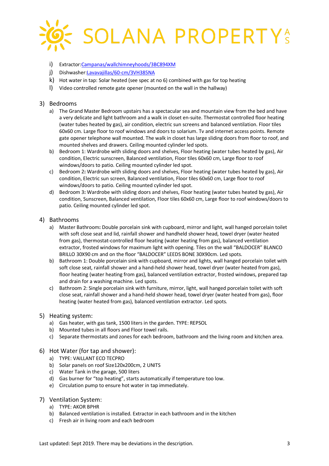

- i) Extractor:Campanas/wallchimneyhoods/3BC894XM
- j) Dishwasher:Lavavajillas/60-cm/3VH385NA
- k) Hot water in tap: Solar heated (see spec at no 6) combined with gas for top heating
- l) Video controlled remote gate opener (mounted on the wall in the hallway)

# 3) Bedrooms

- a) The Grand Master Bedroom upstairs has a spectacular sea and mountain view from the bed and have a very delicate and light bathroom and a walk in closet en-suite. Thermostat controlled floor heating (water tubes heated by gas), air condition, electric sun screens and balanced ventilation. Floor tiles 60x60 cm. Large floor to roof windows and doors to solarium. Tv and internet access points. Remote gate opener telephone wall mounted. The walk in closet has large sliding doors from floor to roof, and mounted shelves and drawers. Ceiling mounted cylinder led spots.
- b) Bedroom 1: Wardrobe with sliding doors and shelves, Floor heating (water tubes heated by gas), Air condition, Electric sunscreen, Balanced ventilation, Floor tiles 60x60 cm, Large floor to roof windows/doors to patio. Ceiling mounted cylinder led spot.
- c) Bedroom 2**:** Wardrobe with sliding doors and shelves, Floor heating (water tubes heated by gas), Air condition, Electric sun screen, Balanced ventilation, Floor tiles 60x60 cm, Large floor to roof windows/doors to patio. Ceiling mounted cylinder led spot.
- d) Bedroom 3**:** Wardrobe with sliding doors and shelves, Floor heating (water tubes heated by gas), Air condition, Sunscreen, Balanced ventilation, Floor tiles 60x60 cm, Large floor to roof windows/doors to patio. Ceiling mounted cylinder led spot.

# 4) Bathrooms

- a) Master Bathroom**:** Double porcelain sink with cupboard, mirror and light, wall hanged porcelain toilet with soft close seat and lid, rainfall shower and handheld shower head, towel dryer (water heated from gas), thermostat-controlled floor heating (water heating from gas), balanced ventilation extractor, frosted windows for maximum light with opening. Tiles on the wall "BALDOCER" BLANCO BRILLO 30X90 cm and on the floor "BALDOCER" LEEDS BONE 30X90cm. Led spots.
- b) Bathroom 1: Double porcelain sink with cupboard, mirror and lights, wall hanged porcelain toilet with soft close seat, rainfall shower and a hand-held shower head, towel dryer (water heated from gas), floor heating (water heating from gas), balanced ventilation extractor, frosted windows, prepared tap and drain for a washing machine. Led spots.
- c) Bathroom 2: Single porcelain sink with furniture, mirror, light, wall hanged porcelain toilet with soft close seat, rainfall shower and a hand-held shower head, towel dryer (water heated from gas), floor heating (water heated from gas), balanced ventilation extractor. Led spots.

# 5) Heating system:

- a) Gas heater, with gas tank, 1500 liters in the garden. TYPE: REPSOL
- b) Mounted tubes in all floors and Floor towel rails.
- c) Separate thermostats and zones for each bedroom, bathroom and the living room and kitchen area.

# 6) Hot Water (for tap and shower):

- a) TYPE: VAILLANT ECO TECPRO
- b) Solar panels on roof Size120x200cm, 2 UNITS
- c) Water Tank in the garage, 500 liters
- d) Gas burner for "top heating", starts automatically if temperature too low.
- e) Circulation pump to ensure hot water in tap immediately.

# 7) Ventilation System:

- a) TYPE: AKOR BPHR
- b) Balanced ventilation is installed. Extractor in each bathroom and in the kitchen
- c) Fresh air in living room and each bedroom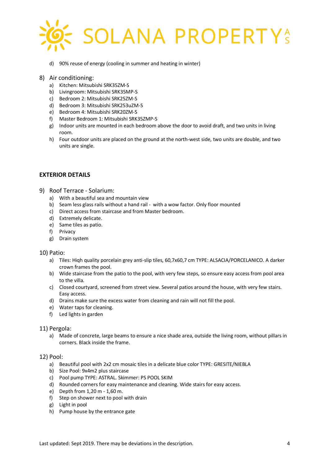

d) 90% reuse of energy (cooling in summer and heating in winter)

#### 8) Air conditioning:

- a) Kitchen: Mitsubishi SRK35ZM-S
- b) Livingroom: Mitsubishi SRK35MP-S
- c) Bedroom 2: Mitsubishi SRK25ZM-S
- d) Bedroom 3: Mitsubishi SRK253uZM-S
- e) Bedroom 4: Mitsubishi SRK20ZM-S
- f) Master Bedroom 1: Mitsubishi SRK35ZMP-S
- g) Indoor units are mounted in each bedroom above the door to avoid draft, and two units in living room.
- h) Four outdoor units are placed on the ground at the north-west side, two units are double, and two units are single.

### **EXTERIOR DETAILS**

- 9) Roof Terrace Solarium:
	- a) With a beautiful sea and mountain view
	- b) Seam less glass rails without a hand rail with a wow factor. Only floor mounted
	- c) Direct access from staircase and from Master bedroom.
	- d) Extremely delicate.
	- e) Same tiles as patio.
	- f) Privacy
	- g) Drain system

#### 10) Patio:

- a) Tiles: Hiqh quality porcelain grey anti-slip tiles, 60,7x60,7 cm TYPE: ALSACIA/PORCELANICO. A darker crown frames the pool.
- b) Wide staircase from the patio to the pool, with very few steps, so ensure easy access from pool area to the villa.
- c) Closed courtyard, screened from street view. Several patios around the house, with very few stairs. Easy access.
- d) Drains make sure the excess water from cleaning and rain will not fill the pool.
- e) Water taps for cleaning.
- f) Led lights in garden

#### 11) Pergola:

a) Made of concrete, large beams to ensure a nice shade area, outside the living room, without pillars in corners. Black inside the frame.

#### 12) Pool:

- a) Beautiful pool with 2x2 cm mosaic tiles in a delicate blue color TYPE: GRESITE/NIEBLA
- b) Size Pool: 9x4m2 plus staircase
- c) Pool pump TYPE: ASTRAL. Skimmer: PS POOL SKIM
- d) Rounded corners for easy maintenance and cleaning. Wide stairs for easy access.
- e) Depth from 1,20 m 1,60 m.
- f) Step on shower next to pool with drain
- g) Light in pool
- h) Pump house by the entrance gate